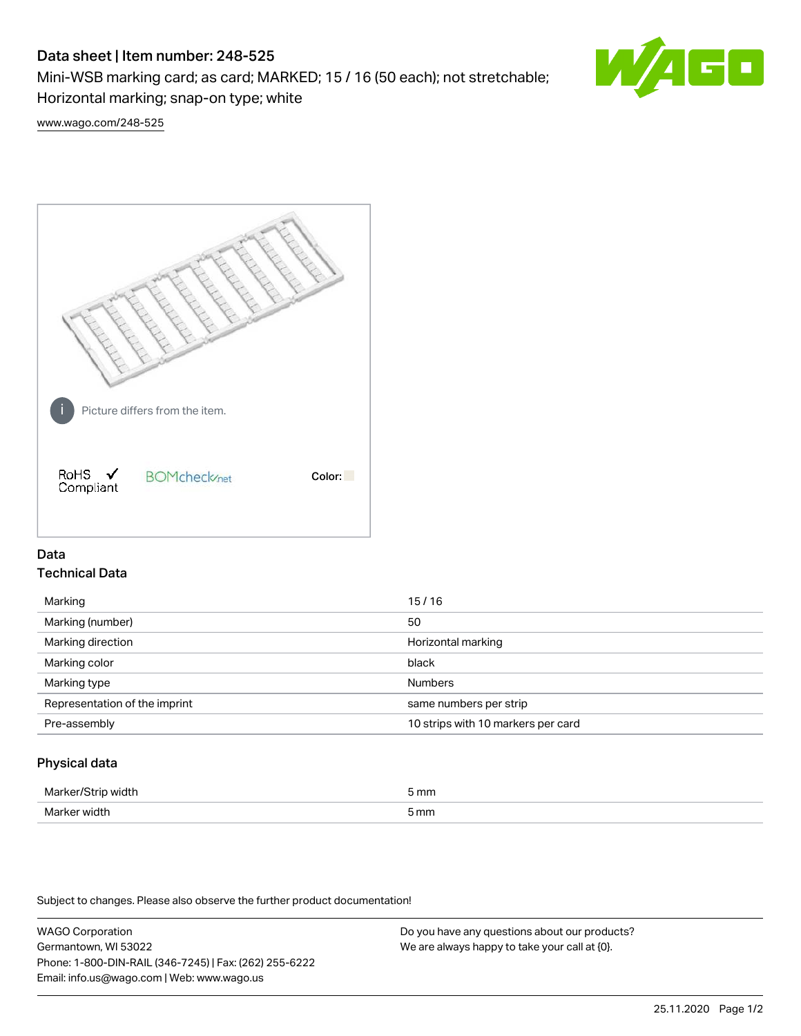# Data sheet | Item number: 248-525

Mini-WSB marking card; as card; MARKED; 15 / 16 (50 each); not stretchable; Horizontal marking; snap-on type; white



[www.wago.com/248-525](http://www.wago.com/248-525)



## Data Technical Data

| Marking                       | 15/16                              |
|-------------------------------|------------------------------------|
| Marking (number)              | 50                                 |
| Marking direction             | Horizontal marking                 |
| Marking color                 | black                              |
| Marking type                  | <b>Numbers</b>                     |
| Representation of the imprint | same numbers per strip             |
| Pre-assembly                  | 10 strips with 10 markers per card |
|                               |                                    |

## Physical data

| Marker<br><b>WINTI</b><br>י | 5 mm |
|-----------------------------|------|
| Marker width                | 5 mm |

Subject to changes. Please also observe the further product documentation!

WAGO Corporation Germantown, WI 53022 Phone: 1-800-DIN-RAIL (346-7245) | Fax: (262) 255-6222 Email: info.us@wago.com | Web: www.wago.us Do you have any questions about our products? We are always happy to take your call at {0}.